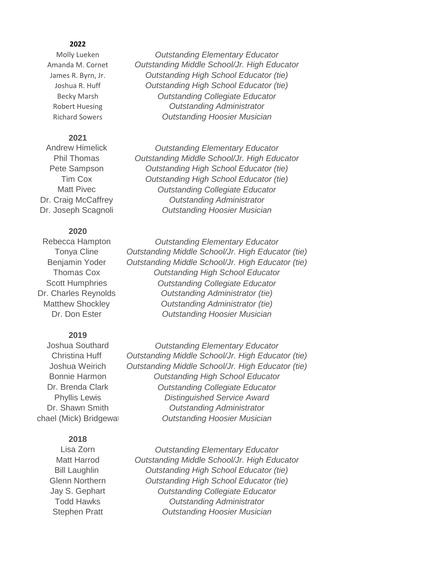#### **2022**

## **2021**

### **2020**

#### **2019**

#### **2018**

Molly Lueken *Outstanding Elementary Educator* Amanda M. Cornet *Outstanding Middle School/Jr. High Educator* James R. Byrn, Jr. *Outstanding High School Educator (tie)* Joshua R. Huff *Outstanding High School Educator (tie)* Becky Marsh *Outstanding Collegiate Educator* Robert Huesing *Outstanding Administrator* Richard Sowers *Outstanding Hoosier Musician*

Andrew Himelick *Outstanding Elementary Educator* Phil Thomas *Outstanding Middle School/Jr. High Educator* Pete Sampson *Outstanding High School Educator (tie)* Tim Cox *Outstanding High School Educator (tie)* Matt Pivec *Outstanding Collegiate Educator* Dr. Craig McCaffrey *Outstanding Administrator* Dr. Joseph Scagnoli *Outstanding Hoosier Musician*

Rebecca Hampton *Outstanding Elementary Educator* Tonya Cline *Outstanding Middle School/Jr. High Educator (tie)* Benjamin Yoder *Outstanding Middle School/Jr. High Educator (tie)* Thomas Cox *Outstanding High School Educator* Scott Humphries *Outstanding Collegiate Educator* Dr. Charles Reynolds *Outstanding Administrator (tie)* Matthew Shockley *Outstanding Administrator (tie)* Dr. Don Ester *Outstanding Hoosier Musician*

Joshua Southard *Outstanding Elementary Educator* Christina Huff *Outstanding Middle School/Jr. High Educator (tie)* Joshua Weirich *Outstanding Middle School/Jr. High Educator (tie)* Bonnie Harmon *Outstanding High School Educator* Dr. Brenda Clark *Outstanding Collegiate Educator* Phyllis Lewis *Distinguished Service Award* Dr. Shawn Smith *Outstanding Administrator* Michael (Mick) Bridgewater *Outstanding Hoosier Musician*

Lisa Zorn *Outstanding Elementary Educator* Matt Harrod *Outstanding Middle School/Jr. High Educator* Bill Laughlin *Outstanding High School Educator (tie)* Glenn Northern *Outstanding High School Educator (tie)* Jay S. Gephart *Outstanding Collegiate Educator* Todd Hawks *Outstanding Administrator* Stephen Pratt *Outstanding Hoosier Musician*